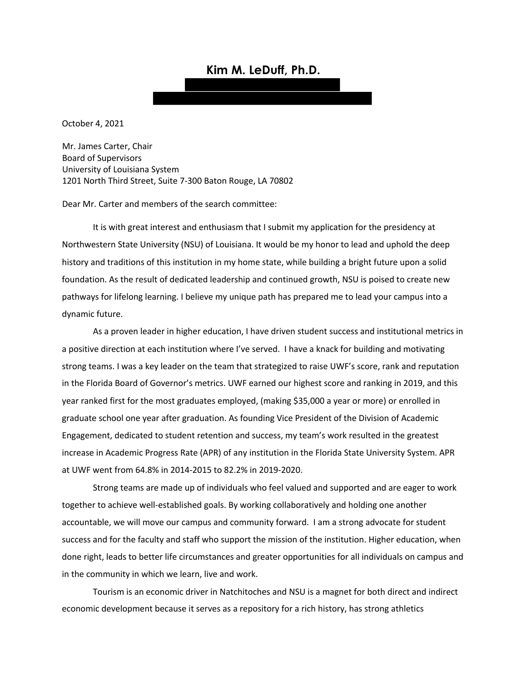# **Kim M. LeDuff, Ph.D.**

October 4, 2021

Mr. James Carter, Chair Board of Supervisors University of Louisiana System 1201 North Third Street, Suite 7-300 Baton Rouge, LA 70802

Dear Mr. Carter and members of the search committee:

It is with great interest and enthusiasm that I submit my application for the presidency at Northwestern State University (NSU) of Louisiana. It would be my honor to lead and uphold the deep history and traditions of this institution in my home state, while building a bright future upon a solid foundation. As the result of dedicated leadership and continued growth, NSU is poised to create new pathways for lifelong learning. I believe my unique path has prepared me to lead your campus into a dynamic future.

As a proven leader in higher education, I have driven student success and institutional metrics in a positive direction at each institution where I've served. I have a knack for building and motivating strong teams. I was a key leader on the team that strategized to raise UWF's score, rank and reputation in the Florida Board of Governor's metrics. UWF earned our highest score and ranking in 2019, and this year ranked first for the most graduates employed, (making \$35,000 a year or more) or enrolled in graduate school one year after graduation. As founding Vice President of the Division of Academic Engagement, dedicated to student retention and success, my team's work resulted in the greatest increase in Academic Progress Rate (APR) of any institution in the Florida State University System. APR at UWF went from 64.8% in 2014-2015 to 82.2% in 2019-2020.

Strong teams are made up of individuals who feel valued and supported and are eager to work together to achieve well-established goals. By working collaboratively and holding one another accountable, we will move our campus and community forward. I am a strong advocate for student success and for the faculty and staff who support the mission of the institution. Higher education, when done right, leads to better life circumstances and greater opportunities for all individuals on campus and in the community in which we learn, live and work.

Tourism is an economic driver in Natchitoches and NSU is a magnet for both direct and indirect economic development because it serves as a repository for a rich history, has strong athletics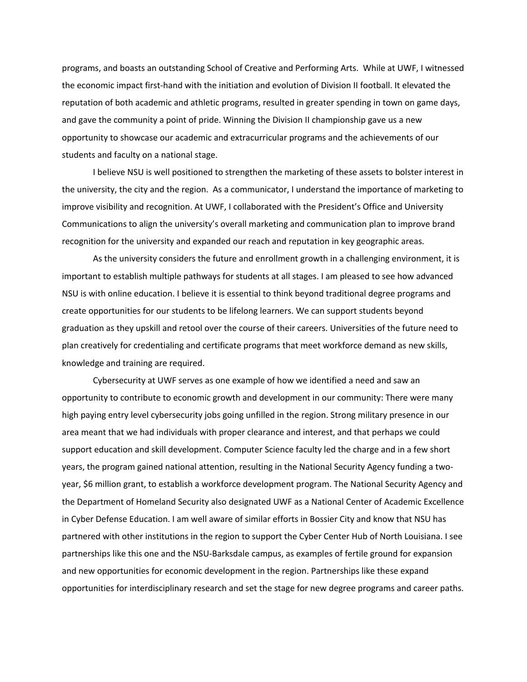programs, and boasts an outstanding School of Creative and Performing Arts. While at UWF, I witnessed the economic impact first-hand with the initiation and evolution of Division II football. It elevated the reputation of both academic and athletic programs, resulted in greater spending in town on game days, and gave the community a point of pride. Winning the Division II championship gave us a new opportunity to showcase our academic and extracurricular programs and the achievements of our students and faculty on a national stage.

I believe NSU is well positioned to strengthen the marketing of these assets to bolster interest in the university, the city and the region. As a communicator, I understand the importance of marketing to improve visibility and recognition. At UWF, I collaborated with the President's Office and University Communications to align the university's overall marketing and communication plan to improve brand recognition for the university and expanded our reach and reputation in key geographic areas.

As the university considers the future and enrollment growth in a challenging environment, it is important to establish multiple pathways for students at all stages. I am pleased to see how advanced NSU is with online education. I believe it is essential to think beyond traditional degree programs and create opportunities for our students to be lifelong learners. We can support students beyond graduation as they upskill and retool over the course of their careers. Universities of the future need to plan creatively for credentialing and certificate programs that meet workforce demand as new skills, knowledge and training are required.

Cybersecurity at UWF serves as one example of how we identified a need and saw an opportunity to contribute to economic growth and development in our community: There were many high paying entry level cybersecurity jobs going unfilled in the region. Strong military presence in our area meant that we had individuals with proper clearance and interest, and that perhaps we could support education and skill development. Computer Science faculty led the charge and in a few short years, the program gained national attention, resulting in the National Security Agency funding a twoyear, \$6 million grant, to establish a workforce development program. The National Security Agency and the Department of Homeland Security also designated UWF as a National Center of Academic Excellence in Cyber Defense Education. I am well aware of similar efforts in Bossier City and know that NSU has partnered with other institutions in the region to support the Cyber Center Hub of North Louisiana. I see partnerships like this one and the NSU-Barksdale campus, as examples of fertile ground for expansion and new opportunities for economic development in the region. Partnerships like these expand opportunities for interdisciplinary research and set the stage for new degree programs and career paths.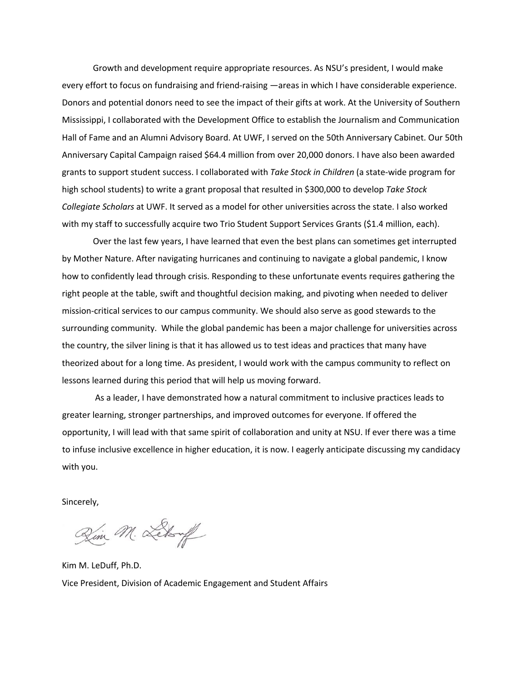Growth and development require appropriate resources. As NSU's president, I would make every effort to focus on fundraising and friend-raising —areas in which I have considerable experience. Donors and potential donors need to see the impact of their gifts at work. At the University of Southern Mississippi, I collaborated with the Development Office to establish the Journalism and Communication Hall of Fame and an Alumni Advisory Board. At UWF, I served on the 50th Anniversary Cabinet. Our 50th Anniversary Capital Campaign raised \$64.4 million from over 20,000 donors. I have also been awarded grants to support student success. I collaborated with *Take Stock in Children* (a state-wide program for high school students) to write a grant proposal that resulted in \$300,000 to develop *Take Stock Collegiate Scholars* at UWF. It served as a model for other universities across the state. I also worked with my staff to successfully acquire two Trio Student Support Services Grants (\$1.4 million, each).

Over the last few years, I have learned that even the best plans can sometimes get interrupted by Mother Nature. After navigating hurricanes and continuing to navigate a global pandemic, I know how to confidently lead through crisis. Responding to these unfortunate events requires gathering the right people at the table, swift and thoughtful decision making, and pivoting when needed to deliver mission-critical services to our campus community. We should also serve as good stewards to the surrounding community. While the global pandemic has been a major challenge for universities across the country, the silver lining is that it has allowed us to test ideas and practices that many have theorized about for a long time. As president, I would work with the campus community to reflect on lessons learned during this period that will help us moving forward.

As a leader, I have demonstrated how a natural commitment to inclusive practices leads to greater learning, stronger partnerships, and improved outcomes for everyone. If offered the opportunity, I will lead with that same spirit of collaboration and unity at NSU. If ever there was a time to infuse inclusive excellence in higher education, it is now. I eagerly anticipate discussing my candidacy with you.

Sincerely,

Zim M. Letty

Kim M. LeDuff, Ph.D. Vice President, Division of Academic Engagement and Student Affairs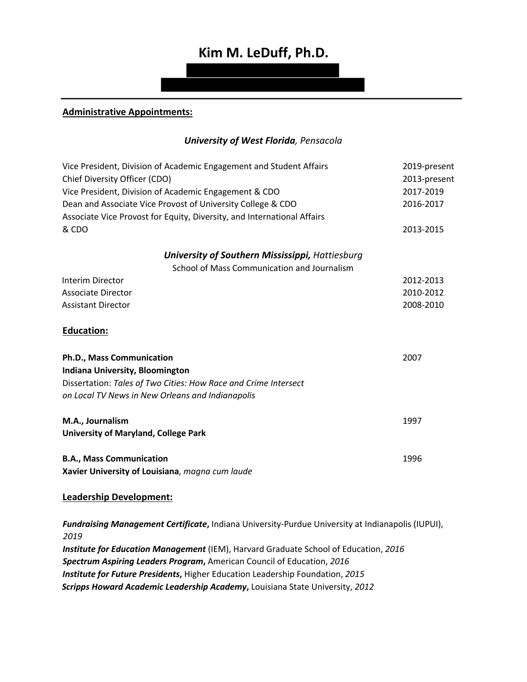# **Kim M. LeDuff, Ph.D.**

### **Administrative Appointments:**

### *University of West Florida, Pensacola*

| Vice President, Division of Academic Engagement and Student Affairs     | 2019-present |
|-------------------------------------------------------------------------|--------------|
| Chief Diversity Officer (CDO)                                           | 2013-present |
| Vice President, Division of Academic Engagement & CDO                   | 2017-2019    |
| Dean and Associate Vice Provost of University College & CDO             | 2016-2017    |
| Associate Vice Provost for Equity, Diversity, and International Affairs |              |
| & CDO                                                                   | 2013-2015    |
| <b>University of Southern Mississippi, Hattiesburg</b>                  |              |
| School of Mass Communication and Journalism                             |              |
| Interim Director                                                        | 2012-2013    |
| <b>Associate Director</b>                                               | 2010-2012    |
| <b>Assistant Director</b>                                               | 2008-2010    |
| <b>Education:</b>                                                       |              |
| Ph.D., Mass Communication                                               | 2007         |
| <b>Indiana University, Bloomington</b>                                  |              |
| Dissertation: Tales of Two Cities: How Race and Crime Intersect         |              |
| on Local TV News in New Orleans and Indianapolis                        |              |
| M.A., Journalism                                                        | 1997         |
| <b>University of Maryland, College Park</b>                             |              |
| <b>B.A., Mass Communication</b>                                         | 1996         |
| Xavier University of Louisiana, magna cum laude                         |              |

#### **Leadership Development:**

*Fundraising Management Certificate***,** Indiana University-Purdue University at Indianapolis (IUPUI), *2019*

*Institute for Education Management* (IEM), Harvard Graduate School of Education, *2016 Spectrum Aspiring Leaders Program***,** American Council of Education, *2016 Institute for Future Presidents***,** Higher Education Leadership Foundation, *2015 Scripps Howard Academic Leadership Academy***,** Louisiana State University, *2012*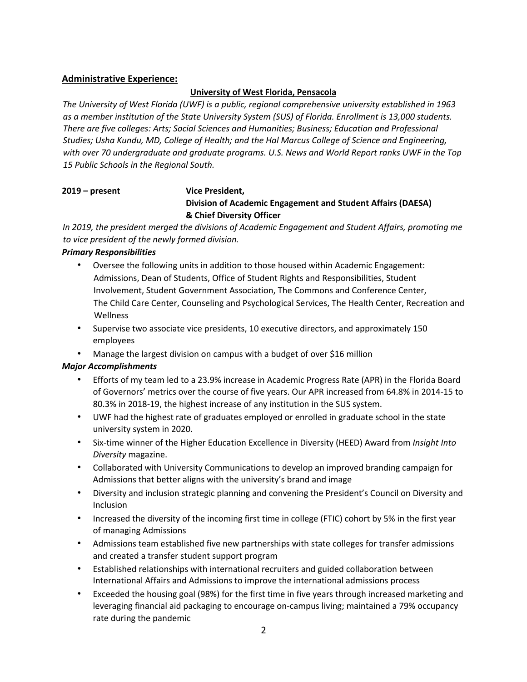## **Administrative Experience:**

#### **University of West Florida, Pensacola**

*The University of West Florida (UWF) is a public, regional comprehensive university established in 1963 as a member institution of the State University System (SUS) of Florida. Enrollment is 13,000 students. There are five colleges: Arts; Social Sciences and Humanities; Business; Education and Professional Studies; Usha Kundu, MD, College of Health; and the Hal Marcus College of Science and Engineering, with over 70 undergraduate and graduate programs. U.S. News and World Report ranks UWF in the Top 15 Public Schools in the Regional South.* 

# **2019 – present Vice President, Division of Academic Engagement and Student Affairs (DAESA) & Chief Diversity Officer**

*In 2019, the president merged the divisions of Academic Engagement and Student Affairs, promoting me to vice president of the newly formed division.* 

#### *Primary Responsibilities*

- Oversee the following units in addition to those housed within Academic Engagement: Admissions, Dean of Students, Office of Student Rights and Responsibilities, Student Involvement, Student Government Association, The Commons and Conference Center, The Child Care Center, Counseling and Psychological Services, The Health Center, Recreation and Wellness
- Supervise two associate vice presidents, 10 executive directors, and approximately 150 employees
- Manage the largest division on campus with a budget of over \$16 million

## *Major Accomplishments*

- Efforts of my team led to a 23.9% increase in Academic Progress Rate (APR) in the Florida Board of Governors' metrics over the course of five years. Our APR increased from 64.8% in 2014-15 to 80.3% in 2018-19, the highest increase of any institution in the SUS system.
- UWF had the highest rate of graduates employed or enrolled in graduate school in the state university system in 2020.
- Six-time winner of the Higher Education Excellence in Diversity (HEED) Award from *Insight Into Diversity* magazine.
- Collaborated with University Communications to develop an improved branding campaign for Admissions that better aligns with the university's brand and image
- Diversity and inclusion strategic planning and convening the President's Council on Diversity and Inclusion
- Increased the diversity of the incoming first time in college (FTIC) cohort by 5% in the first year of managing Admissions
- Admissions team established five new partnerships with state colleges for transfer admissions and created a transfer student support program
- Established relationships with international recruiters and guided collaboration between International Affairs and Admissions to improve the international admissions process
- Exceeded the housing goal (98%) for the first time in five years through increased marketing and leveraging financial aid packaging to encourage on-campus living; maintained a 79% occupancy rate during the pandemic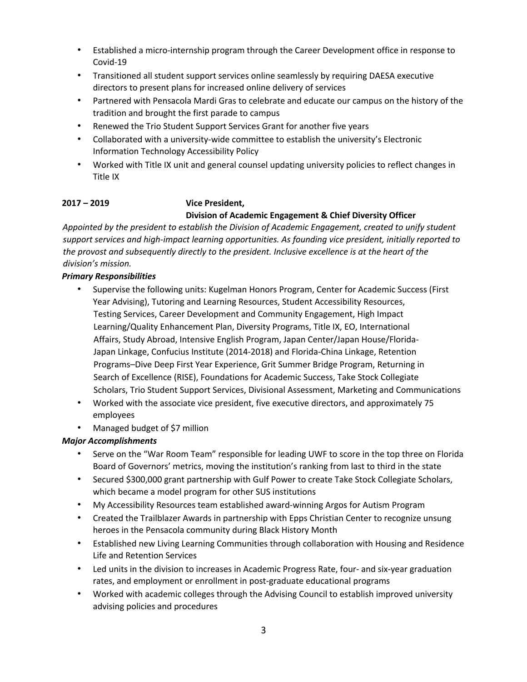- Established a micro-internship program through the Career Development office in response to Covid-19
- Transitioned all student support services online seamlessly by requiring DAESA executive directors to present plans for increased online delivery of services
- Partnered with Pensacola Mardi Gras to celebrate and educate our campus on the history of the tradition and brought the first parade to campus
- Renewed the Trio Student Support Services Grant for another five years
- Collaborated with a university-wide committee to establish the university's Electronic Information Technology Accessibility Policy
- Worked with Title IX unit and general counsel updating university policies to reflect changes in Title IX

# **2017 – 2019 Vice President, Division of Academic Engagement & Chief Diversity Officer**

*Appointed by the president to establish the Division of Academic Engagement, created to unify student support services and high-impact learning opportunities. As founding vice president, initially reported to the provost and subsequently directly to the president. Inclusive excellence is at the heart of the division's mission.* 

## *Primary Responsibilities*

- Supervise the following units: Kugelman Honors Program, Center for Academic Success (First Year Advising), Tutoring and Learning Resources, Student Accessibility Resources, Testing Services, Career Development and Community Engagement, High Impact Learning/Quality Enhancement Plan, Diversity Programs, Title IX, EO, International Affairs, Study Abroad, Intensive English Program, Japan Center/Japan House/Florida-Japan Linkage, Confucius Institute (2014-2018) and Florida-China Linkage, Retention Programs–Dive Deep First Year Experience, Grit Summer Bridge Program, Returning in Search of Excellence (RISE), Foundations for Academic Success, Take Stock Collegiate Scholars, Trio Student Support Services, Divisional Assessment, Marketing and Communications
- Worked with the associate vice president, five executive directors, and approximately 75 employees
- Managed budget of \$7 million

## *Major Accomplishments*

- Serve on the "War Room Team" responsible for leading UWF to score in the top three on Florida Board of Governors' metrics, moving the institution's ranking from last to third in the state
- Secured \$300,000 grant partnership with Gulf Power to create Take Stock Collegiate Scholars, which became a model program for other SUS institutions
- My Accessibility Resources team established award-winning Argos for Autism Program
- Created the Trailblazer Awards in partnership with Epps Christian Center to recognize unsung heroes in the Pensacola community during Black History Month
- Established new Living Learning Communities through collaboration with Housing and Residence Life and Retention Services
- Led units in the division to increases in Academic Progress Rate, four- and six-year graduation rates, and employment or enrollment in post-graduate educational programs
- Worked with academic colleges through the Advising Council to establish improved university advising policies and procedures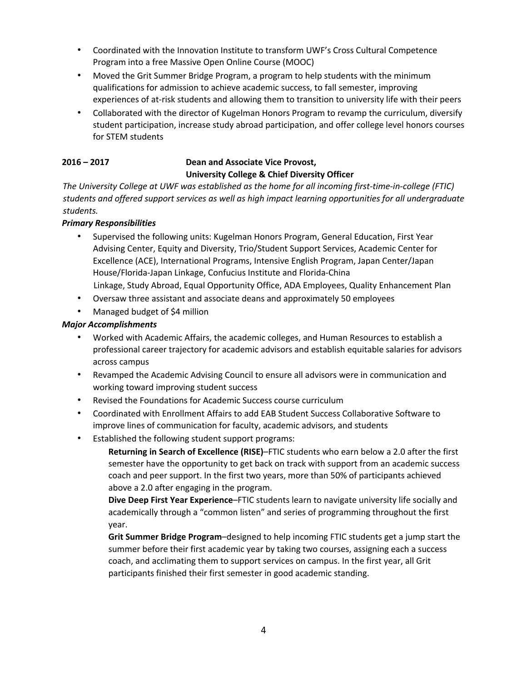- Coordinated with the Innovation Institute to transform UWF's Cross Cultural Competence Program into a free Massive Open Online Course (MOOC)
- Moved the Grit Summer Bridge Program, a program to help students with the minimum qualifications for admission to achieve academic success, to fall semester, improving experiences of at-risk students and allowing them to transition to university life with their peers
- Collaborated with the director of Kugelman Honors Program to revamp the curriculum, diversify student participation, increase study abroad participation, and offer college level honors courses for STEM students

# **2016 – 2017 Dean and Associate Vice Provost, University College & Chief Diversity Officer**

*The University College at UWF was established as the home for all incoming first-time-in-college (FTIC) students and offered support services as well as high impact learning opportunities for all undergraduate students.* 

# *Primary Responsibilities*

- Supervised the following units: Kugelman Honors Program, General Education, First Year Advising Center, Equity and Diversity, Trio/Student Support Services, Academic Center for Excellence (ACE), International Programs, Intensive English Program, Japan Center/Japan House/Florida-Japan Linkage, Confucius Institute and Florida-China Linkage, Study Abroad, Equal Opportunity Office, ADA Employees, Quality Enhancement Plan
- Oversaw three assistant and associate deans and approximately 50 employees
- Managed budget of \$4 million

# *Major Accomplishments*

- Worked with Academic Affairs, the academic colleges, and Human Resources to establish a professional career trajectory for academic advisors and establish equitable salaries for advisors across campus
- Revamped the Academic Advising Council to ensure all advisors were in communication and working toward improving student success
- Revised the Foundations for Academic Success course curriculum
- Coordinated with Enrollment Affairs to add EAB Student Success Collaborative Software to improve lines of communication for faculty, academic advisors, and students
- Established the following student support programs:

**Returning in Search of Excellence (RISE)**–FTIC students who earn below a 2.0 after the first semester have the opportunity to get back on track with support from an academic success coach and peer support. In the first two years, more than 50% of participants achieved above a 2.0 after engaging in the program.

**Dive Deep First Year Experience**–FTIC students learn to navigate university life socially and academically through a "common listen" and series of programming throughout the first year.

**Grit Summer Bridge Program**–designed to help incoming FTIC students get a jump start the summer before their first academic year by taking two courses, assigning each a success coach, and acclimating them to support services on campus. In the first year, all Grit participants finished their first semester in good academic standing.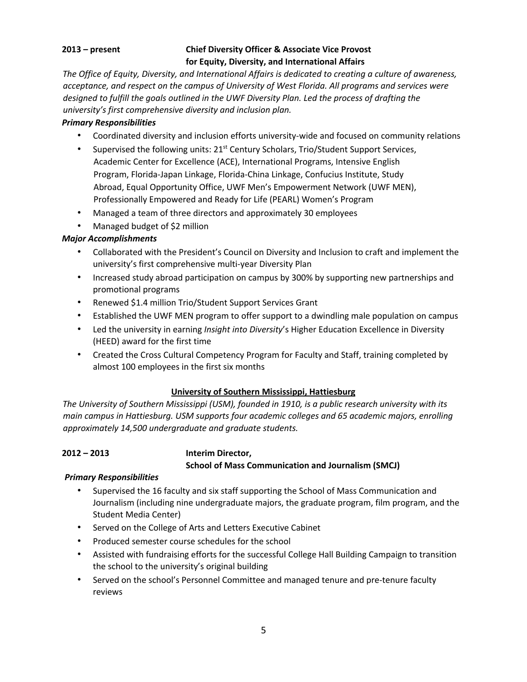# **2013 – present Chief Diversity Officer & Associate Vice Provost for Equity, Diversity, and International Affairs**

*The Office of Equity, Diversity, and International Affairs is dedicated to creating a culture of awareness, acceptance, and respect on the campus of University of West Florida. All programs and services were designed to fulfill the goals outlined in the UWF Diversity Plan. Led the process of drafting the university's first comprehensive diversity and inclusion plan.* 

# *Primary Responsibilities*

- Coordinated diversity and inclusion efforts university-wide and focused on community relations
- Supervised the following units:  $21<sup>st</sup>$  Century Scholars, Trio/Student Support Services, Academic Center for Excellence (ACE), International Programs, Intensive English Program, Florida-Japan Linkage, Florida-China Linkage, Confucius Institute, Study Abroad, Equal Opportunity Office, UWF Men's Empowerment Network (UWF MEN), Professionally Empowered and Ready for Life (PEARL) Women's Program
- Managed a team of three directors and approximately 30 employees
- Managed budget of \$2 million

# *Major Accomplishments*

- Collaborated with the President's Council on Diversity and Inclusion to craft and implement the university's first comprehensive multi-year Diversity Plan
- Increased study abroad participation on campus by 300% by supporting new partnerships and promotional programs
- Renewed \$1.4 million Trio/Student Support Services Grant
- Established the UWF MEN program to offer support to a dwindling male population on campus
- Led the university in earning *Insight into Diversity*'s Higher Education Excellence in Diversity (HEED) award for the first time
- Created the Cross Cultural Competency Program for Faculty and Staff, training completed by almost 100 employees in the first six months

# **University of Southern Mississippi, Hattiesburg**

*The University of Southern Mississippi (USM), founded in 1910, is a public research university with its main campus in Hattiesburg. USM supports four academic colleges and 65 academic majors, enrolling approximately 14,500 undergraduate and graduate students.* 

# **2012 – 2013 Interim Director,**

**School of Mass Communication and Journalism (SMCJ)** 

# *Primary Responsibilities*

- Supervised the 16 faculty and six staff supporting the School of Mass Communication and Journalism (including nine undergraduate majors, the graduate program, film program, and the Student Media Center)
- Served on the College of Arts and Letters Executive Cabinet
- Produced semester course schedules for the school
- Assisted with fundraising efforts for the successful College Hall Building Campaign to transition the school to the university's original building
- Served on the school's Personnel Committee and managed tenure and pre-tenure faculty reviews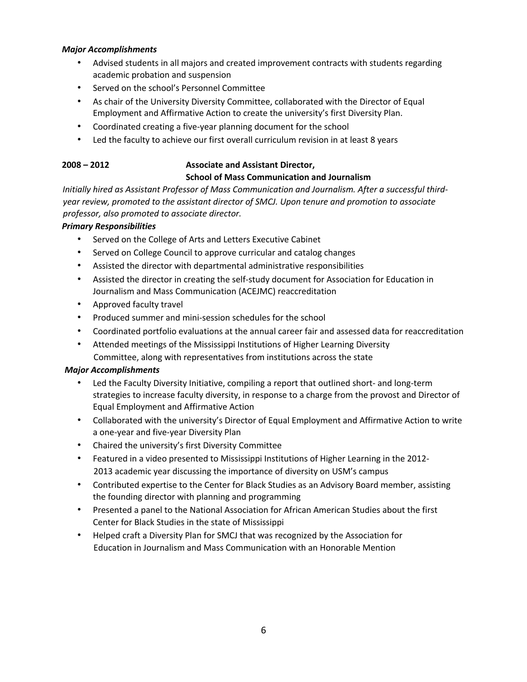#### *Major Accomplishments*

- Advised students in all majors and created improvement contracts with students regarding academic probation and suspension
- Served on the school's Personnel Committee
- As chair of the University Diversity Committee, collaborated with the Director of Equal Employment and Affirmative Action to create the university's first Diversity Plan.
- Coordinated creating a five-year planning document for the school
- Led the faculty to achieve our first overall curriculum revision in at least 8 years

# **2008 – 2012 Associate and Assistant Director, School of Mass Communication and Journalism**

*Initially hired as Assistant Professor of Mass Communication and Journalism. After a successful thirdyear review, promoted to the assistant director of SMCJ. Upon tenure and promotion to associate professor, also promoted to associate director.* 

# *Primary Responsibilities*

- Served on the College of Arts and Letters Executive Cabinet
- Served on College Council to approve curricular and catalog changes
- Assisted the director with departmental administrative responsibilities
- Assisted the director in creating the self-study document for Association for Education in Journalism and Mass Communication (ACEJMC) reaccreditation
- Approved faculty travel
- Produced summer and mini-session schedules for the school
- Coordinated portfolio evaluations at the annual career fair and assessed data for reaccreditation
- Attended meetings of the Mississippi Institutions of Higher Learning Diversity Committee, along with representatives from institutions across the state

## *Major Accomplishments*

- Led the Faculty Diversity Initiative, compiling a report that outlined short- and long-term strategies to increase faculty diversity, in response to a charge from the provost and Director of Equal Employment and Affirmative Action
- Collaborated with the university's Director of Equal Employment and Affirmative Action to write a one-year and five-year Diversity Plan
- Chaired the university's first Diversity Committee
- Featured in a video presented to Mississippi Institutions of Higher Learning in the 2012- 2013 academic year discussing the importance of diversity on USM's campus
- Contributed expertise to the Center for Black Studies as an Advisory Board member, assisting the founding director with planning and programming
- Presented a panel to the National Association for African American Studies about the first Center for Black Studies in the state of Mississippi
- Helped craft a Diversity Plan for SMCJ that was recognized by the Association for Education in Journalism and Mass Communication with an Honorable Mention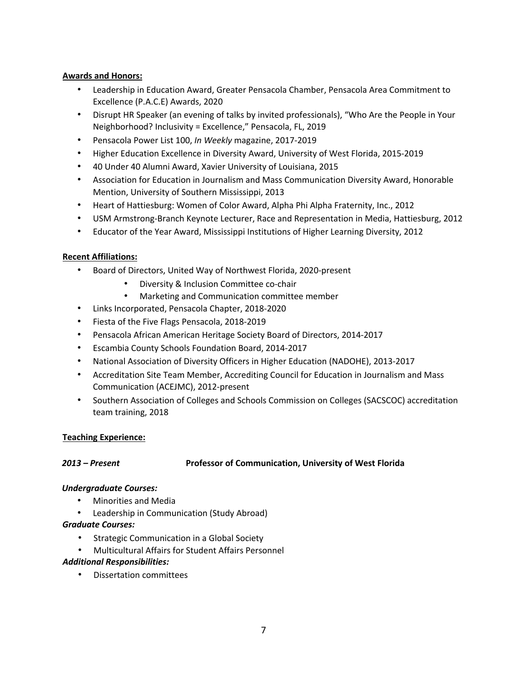### **Awards and Honors:**

- Leadership in Education Award, Greater Pensacola Chamber, Pensacola Area Commitment to Excellence (P.A.C.E) Awards, 2020
- Disrupt HR Speaker (an evening of talks by invited professionals), "Who Are the People in Your Neighborhood? Inclusivity = Excellence," Pensacola, FL, 2019
- Pensacola Power List 100, *In Weekly* magazine, 2017-2019
- Higher Education Excellence in Diversity Award, University of West Florida, 2015-2019
- 40 Under 40 Alumni Award, Xavier University of Louisiana, 2015
- Association for Education in Journalism and Mass Communication Diversity Award, Honorable Mention, University of Southern Mississippi, 2013
- Heart of Hattiesburg: Women of Color Award, Alpha Phi Alpha Fraternity, Inc., 2012
- USM Armstrong-Branch Keynote Lecturer, Race and Representation in Media, Hattiesburg, 2012
- Educator of the Year Award, Mississippi Institutions of Higher Learning Diversity, 2012

#### **Recent Affiliations:**

- Board of Directors, United Way of Northwest Florida, 2020-present
	- Diversity & Inclusion Committee co-chair
	- Marketing and Communication committee member
- Links Incorporated, Pensacola Chapter, 2018-2020
- Fiesta of the Five Flags Pensacola, 2018-2019
- Pensacola African American Heritage Society Board of Directors, 2014-2017
- Escambia County Schools Foundation Board, 2014-2017
- National Association of Diversity Officers in Higher Education (NADOHE), 2013-2017
- Accreditation Site Team Member, Accrediting Council for Education in Journalism and Mass Communication (ACEJMC), 2012-present
- Southern Association of Colleges and Schools Commission on Colleges (SACSCOC) accreditation team training, 2018

#### **Teaching Experience:**

#### *2013 – Present* **Professor of Communication, University of West Florida**

#### *Undergraduate Courses:*

- Minorities and Media
- Leadership in Communication (Study Abroad)

#### *Graduate Courses:*

- Strategic Communication in a Global Society
- Multicultural Affairs for Student Affairs Personnel

#### *Additional Responsibilities:*

• Dissertation committees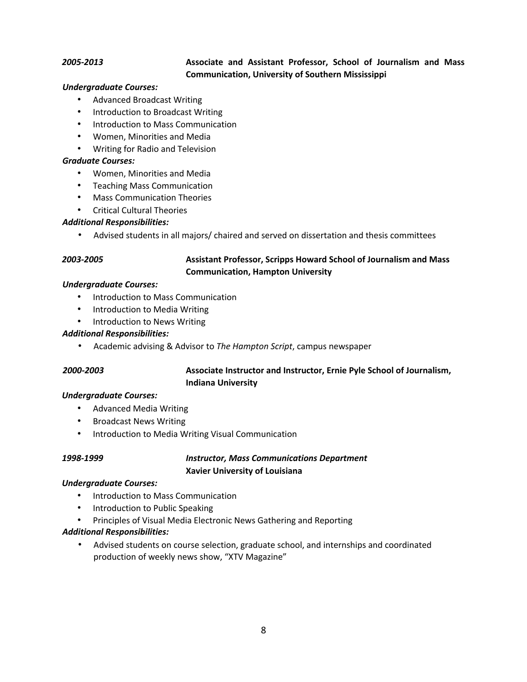### *2005-2013* **Associate and Assistant Professor, School of Journalism and Mass Communication, University of Southern Mississippi**

#### *Undergraduate Courses:*

- Advanced Broadcast Writing
- Introduction to Broadcast Writing
- Introduction to Mass Communication
- Women, Minorities and Media
- Writing for Radio and Television

#### *Graduate Courses:*

- Women, Minorities and Media
- Teaching Mass Communication
- Mass Communication Theories
- Critical Cultural Theories

#### *Additional Responsibilities:*

• Advised students in all majors/ chaired and served on dissertation and thesis committees

# *2003-2005* **Assistant Professor, Scripps Howard School of Journalism and Mass Communication, Hampton University**

#### *Undergraduate Courses:*

- Introduction to Mass Communication
- Introduction to Media Writing
- Introduction to News Writing

#### *Additional Responsibilities:*

• Academic advising & Advisor to *The Hampton Script*, campus newspaper

### *2000-2003* **Associate Instructor and Instructor, Ernie Pyle School of Journalism, Indiana University**

#### *Undergraduate Courses:*

- Advanced Media Writing
- Broadcast News Writing
- Introduction to Media Writing Visual Communication

### *1998-1999 Instructor, Mass Communications Department* **Xavier University of Louisiana**

#### *Undergraduate Courses:*

- Introduction to Mass Communication
- Introduction to Public Speaking
- Principles of Visual Media Electronic News Gathering and Reporting

#### *Additional Responsibilities:*

• Advised students on course selection, graduate school, and internships and coordinated production of weekly news show, "XTV Magazine"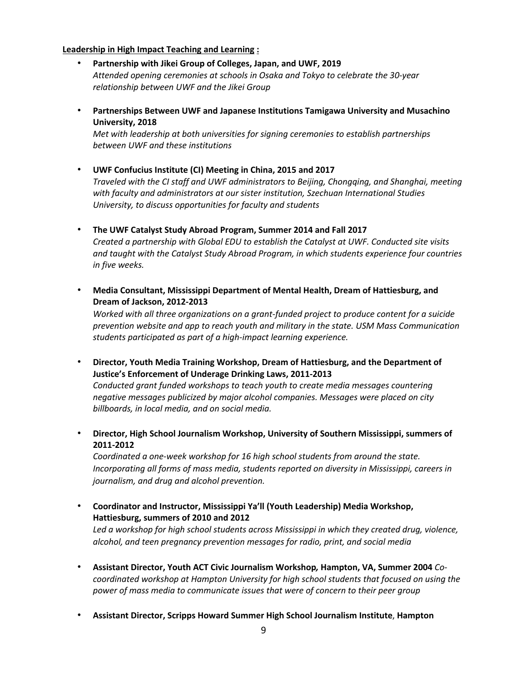#### **Leadership in High Impact Teaching and Learning :**

- **Partnership with Jikei Group of Colleges, Japan, and UWF, 2019** *Attended opening ceremonies at schools in Osaka and Tokyo to celebrate the 30-year relationship between UWF and the Jikei Group*
- **Partnerships Between UWF and Japanese Institutions Tamigawa University and Musachino University, 2018**

*Met with leadership at both universities for signing ceremonies to establish partnerships between UWF and these institutions*

- **UWF Confucius Institute (CI) Meeting in China, 2015 and 2017**  *Traveled with the CI staff and UWF administrators to Beijing, Chongqing, and Shanghai, meeting with faculty and administrators at our sister institution, Szechuan International Studies University, to discuss opportunities for faculty and students*
- **The UWF Catalyst Study Abroad Program, Summer 2014 and Fall 2017**  *Created a partnership with Global EDU to establish the Catalyst at UWF. Conducted site visits and taught with the Catalyst Study Abroad Program, in which students experience four countries in five weeks.*
- **Media Consultant, Mississippi Department of Mental Health, Dream of Hattiesburg, and Dream of Jackson, 2012-2013**

*Worked with all three organizations on a grant-funded project to produce content for a suicide prevention website and app to reach youth and military in the state. USM Mass Communication students participated as part of a high-impact learning experience.* 

• **Director, Youth Media Training Workshop, Dream of Hattiesburg, and the Department of Justice's Enforcement of Underage Drinking Laws, 2011-2013** *Conducted grant funded workshops to teach youth to create media messages countering negative messages publicized by major alcohol companies. Messages were placed on city billboards, in local media, and on social media.* 

• **Director, High School Journalism Workshop, University of Southern Mississippi, summers of 2011-2012**

*Coordinated a one-week workshop for 16 high school students from around the state. Incorporating all forms of mass media, students reported on diversity in Mississippi, careers in journalism, and drug and alcohol prevention.* 

• **Coordinator and Instructor, Mississippi Ya'll (Youth Leadership) Media Workshop, Hattiesburg, summers of 2010 and 2012**

*Led a workshop for high school students across Mississippi in which they created drug, violence, alcohol, and teen pregnancy prevention messages for radio, print, and social media* 

- **Assistant Director, Youth ACT Civic Journalism Workshop***,* **Hampton, VA, Summer 2004** *Cocoordinated workshop at Hampton University for high school students that focused on using the power of mass media to communicate issues that were of concern to their peer group*
- **Assistant Director, Scripps Howard Summer High School Journalism Institute**, **Hampton**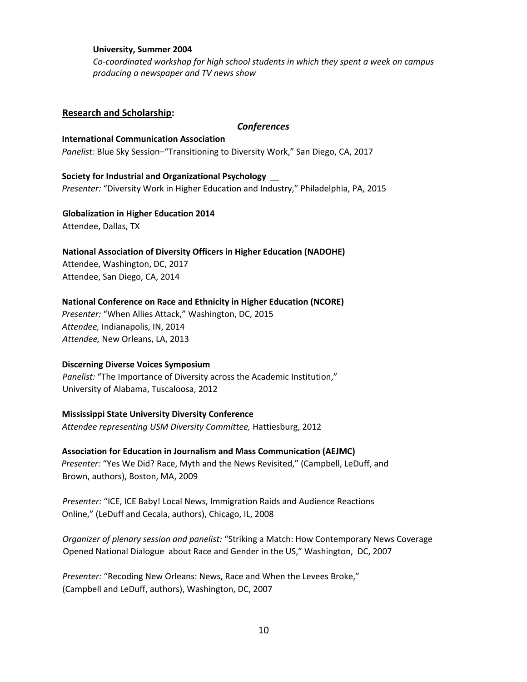#### **University, Summer 2004**

*Co-coordinated workshop for high school students in which they spent a week on campus producing a newspaper and TV news show*

#### **Research and Scholarship:**

#### *Conferences*

**International Communication Association**  *Panelist:* Blue Sky Session–"Transitioning to Diversity Work," San Diego, CA, 2017

**Society for Industrial and Organizational Psychology**  *Presenter:* "Diversity Work in Higher Education and Industry," Philadelphia, PA, 2015

**Globalization in Higher Education 2014**  Attendee, Dallas, TX

**National Association of Diversity Officers in Higher Education (NADOHE)**  Attendee, Washington, DC, 2017 Attendee, San Diego, CA, 2014

#### **National Conference on Race and Ethnicity in Higher Education (NCORE)**

*Presenter:* "When Allies Attack," Washington, DC, 2015 *Attendee,* Indianapolis, IN, 2014 *Attendee,* New Orleans, LA, 2013

#### **Discerning Diverse Voices Symposium**

*Panelist:* "The Importance of Diversity across the Academic Institution," University of Alabama, Tuscaloosa, 2012

#### **Mississippi State University Diversity Conference**

*Attendee representing USM Diversity Committee,* Hattiesburg, 2012

#### **Association for Education in Journalism and Mass Communication (AEJMC)**

*Presenter:* "Yes We Did? Race, Myth and the News Revisited," (Campbell, LeDuff, and Brown, authors), Boston, MA, 2009

*Presenter:* "ICE, ICE Baby! Local News, Immigration Raids and Audience Reactions Online," (LeDuff and Cecala, authors), Chicago, IL, 2008

*Organizer of plenary session and panelist:* "Striking a Match: How Contemporary News Coverage Opened National Dialogue about Race and Gender in the US," Washington, DC, 2007

*Presenter:* "Recoding New Orleans: News, Race and When the Levees Broke," (Campbell and LeDuff, authors), Washington, DC, 2007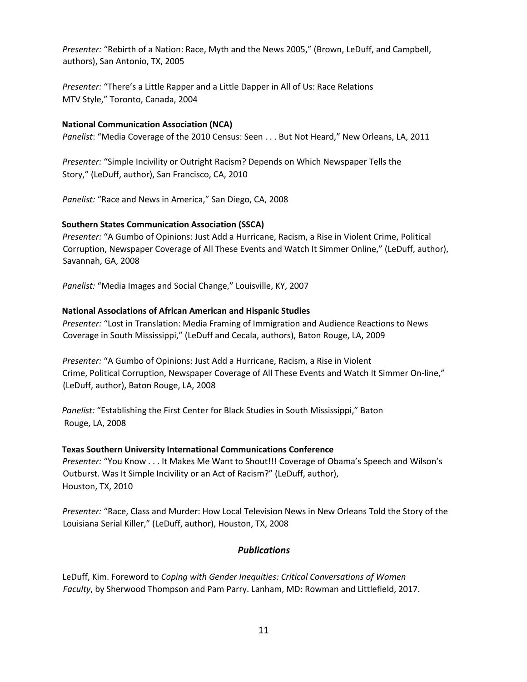*Presenter:* "Rebirth of a Nation: Race, Myth and the News 2005," (Brown, LeDuff, and Campbell, authors), San Antonio, TX, 2005

*Presenter:* "There's a Little Rapper and a Little Dapper in All of Us: Race Relations MTV Style," Toronto, Canada, 2004

#### **National Communication Association (NCA)**

*Panelist*: "Media Coverage of the 2010 Census: Seen . . . But Not Heard," New Orleans, LA, 2011

*Presenter:* "Simple Incivility or Outright Racism? Depends on Which Newspaper Tells the Story," (LeDuff, author), San Francisco, CA, 2010

*Panelist:* "Race and News in America," San Diego, CA, 2008

### **Southern States Communication Association (SSCA)**

*Presenter:* "A Gumbo of Opinions: Just Add a Hurricane, Racism, a Rise in Violent Crime, Political Corruption, Newspaper Coverage of All These Events and Watch It Simmer Online," (LeDuff, author), Savannah, GA, 2008

*Panelist:* "Media Images and Social Change," Louisville, KY, 2007

### **National Associations of African American and Hispanic Studies**

*Presenter:* "Lost in Translation: Media Framing of Immigration and Audience Reactions to News Coverage in South Mississippi," (LeDuff and Cecala, authors), Baton Rouge, LA, 2009

*Presenter:* "A Gumbo of Opinions: Just Add a Hurricane, Racism, a Rise in Violent Crime, Political Corruption, Newspaper Coverage of All These Events and Watch It Simmer On-line," (LeDuff, author), Baton Rouge, LA, 2008

*Panelist:* "Establishing the First Center for Black Studies in South Mississippi," Baton Rouge, LA, 2008

#### **Texas Southern University International Communications Conference**

*Presenter:* "You Know . . . It Makes Me Want to Shout!!! Coverage of Obama's Speech and Wilson's Outburst. Was It Simple Incivility or an Act of Racism?" (LeDuff, author), Houston, TX, 2010

*Presenter:* "Race, Class and Murder: How Local Television News in New Orleans Told the Story of the Louisiana Serial Killer," (LeDuff, author), Houston, TX, 2008

## *Publications*

LeDuff, Kim. Foreword to *Coping with Gender Inequities: Critical Conversations of Women Faculty*, by Sherwood Thompson and Pam Parry. Lanham, MD: Rowman and Littlefield, 2017.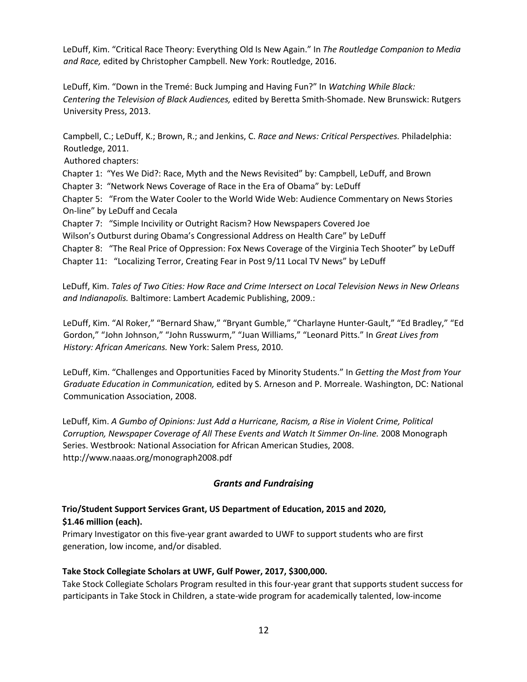LeDuff, Kim. "Critical Race Theory: Everything Old Is New Again." In *The Routledge Companion to Media and Race,* edited by Christopher Campbell. New York: Routledge, 2016.

LeDuff, Kim. "Down in the Tremé: Buck Jumping and Having Fun?" In *Watching While Black: Centering the Television of Black Audiences,* edited by Beretta Smith-Shomade. New Brunswick: Rutgers University Press, 2013.

Campbell, C.; LeDuff, K.; Brown, R.; and Jenkins, C. *Race and News: Critical Perspectives.* Philadelphia: Routledge, 2011.

Authored chapters:

Chapter 1: "Yes We Did?: Race, Myth and the News Revisited" by: Campbell, LeDuff, and Brown

Chapter 3: "Network News Coverage of Race in the Era of Obama" by: LeDuff

Chapter 5: "From the Water Cooler to the World Wide Web: Audience Commentary on News Stories On-line" by LeDuff and Cecala

Chapter 7: "Simple Incivility or Outright Racism? How Newspapers Covered Joe

Wilson's Outburst during Obama's Congressional Address on Health Care" by LeDuff

Chapter 8: "The Real Price of Oppression: Fox News Coverage of the Virginia Tech Shooter" by LeDuff Chapter 11: "Localizing Terror, Creating Fear in Post 9/11 Local TV News" by LeDuff

LeDuff, Kim. *Tales of Two Cities: How Race and Crime Intersect on Local Television News in New Orleans and Indianapolis.* Baltimore: Lambert Academic Publishing, 2009.:

LeDuff, Kim. "Al Roker," "Bernard Shaw," "Bryant Gumble," "Charlayne Hunter-Gault," "Ed Bradley," "Ed Gordon," "John Johnson," "John Russwurm," "Juan Williams," "Leonard Pitts." In *Great Lives from History: African Americans.* New York: Salem Press, 2010.

LeDuff, Kim. "Challenges and Opportunities Faced by Minority Students." In *Getting the Most from Your Graduate Education in Communication,* edited by S. Arneson and P. Morreale. Washington, DC: National Communication Association, 2008.

LeDuff, Kim. *A Gumbo of Opinions: Just Add a Hurricane, Racism, a Rise in Violent Crime, Political Corruption, Newspaper Coverage of All These Events and Watch It Simmer On-line.* 2008 Monograph Series. Westbrook: National Association for African American Studies, 2008. http://www.naaas.org/monograph2008.pdf

## *Grants and Fundraising*

# **Trio/Student Support Services Grant, US Department of Education, 2015 and 2020,**

## **\$1.46 million (each).**

Primary Investigator on this five-year grant awarded to UWF to support students who are first generation, low income, and/or disabled.

## **Take Stock Collegiate Scholars at UWF, Gulf Power, 2017, \$300,000.**

Take Stock Collegiate Scholars Program resulted in this four-year grant that supports student success for participants in Take Stock in Children, a state-wide program for academically talented, low-income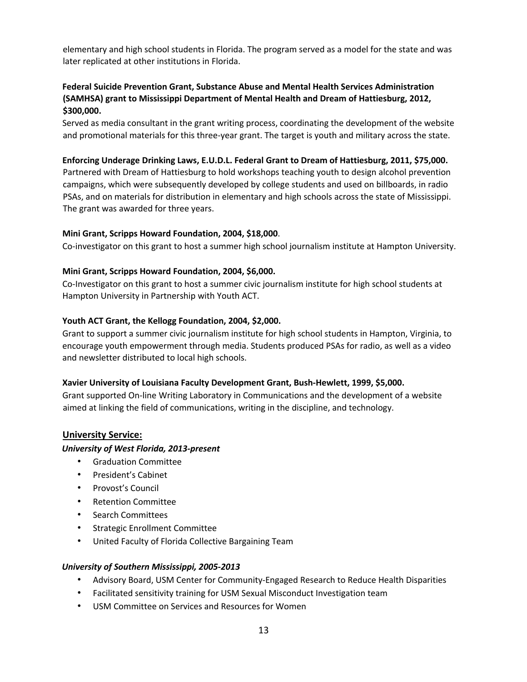elementary and high school students in Florida. The program served as a model for the state and was later replicated at other institutions in Florida.

# **Federal Suicide Prevention Grant, Substance Abuse and Mental Health Services Administration (SAMHSA) grant to Mississippi Department of Mental Health and Dream of Hattiesburg, 2012, \$300,000.**

Served as media consultant in the grant writing process, coordinating the development of the website and promotional materials for this three-year grant. The target is youth and military across the state.

### **Enforcing Underage Drinking Laws, E.U.D.L. Federal Grant to Dream of Hattiesburg, 2011, \$75,000.**

Partnered with Dream of Hattiesburg to hold workshops teaching youth to design alcohol prevention campaigns, which were subsequently developed by college students and used on billboards, in radio PSAs, and on materials for distribution in elementary and high schools across the state of Mississippi. The grant was awarded for three years.

#### **Mini Grant, Scripps Howard Foundation, 2004, \$18,000**.

Co-investigator on this grant to host a summer high school journalism institute at Hampton University.

### **Mini Grant, Scripps Howard Foundation, 2004, \$6,000.**

Co-Investigator on this grant to host a summer civic journalism institute for high school students at Hampton University in Partnership with Youth ACT.

### **Youth ACT Grant, the Kellogg Foundation, 2004, \$2,000.**

Grant to support a summer civic journalism institute for high school students in Hampton, Virginia, to encourage youth empowerment through media. Students produced PSAs for radio, as well as a video and newsletter distributed to local high schools.

#### **Xavier University of Louisiana Faculty Development Grant, Bush-Hewlett, 1999, \$5,000.**

Grant supported On-line Writing Laboratory in Communications and the development of a website aimed at linking the field of communications, writing in the discipline, and technology.

## **University Service:**

#### *University of West Florida, 2013-present*

- Graduation Committee
- President's Cabinet
- Provost's Council
- Retention Committee
- Search Committees
- Strategic Enrollment Committee
- United Faculty of Florida Collective Bargaining Team

#### *University of Southern Mississippi, 2005-2013*

- Advisory Board, USM Center for Community-Engaged Research to Reduce Health Disparities
- Facilitated sensitivity training for USM Sexual Misconduct Investigation team
- USM Committee on Services and Resources for Women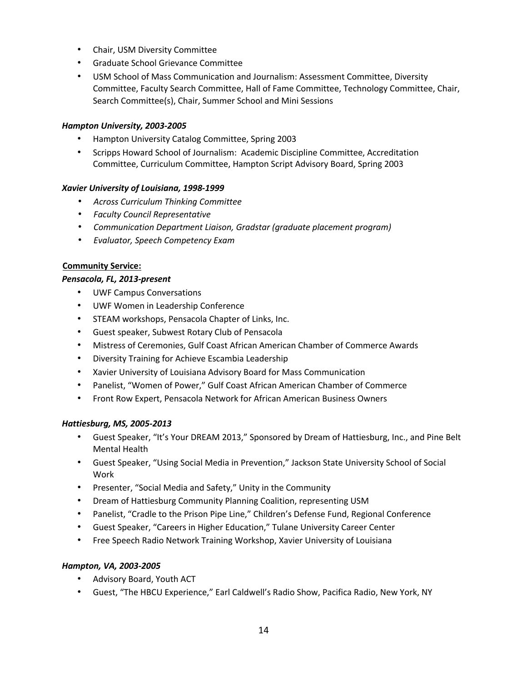- Chair, USM Diversity Committee
- Graduate School Grievance Committee
- USM School of Mass Communication and Journalism: Assessment Committee, Diversity Committee, Faculty Search Committee, Hall of Fame Committee, Technology Committee, Chair, Search Committee(s), Chair, Summer School and Mini Sessions

#### *Hampton University, 2003-2005*

- Hampton University Catalog Committee, Spring 2003
- Scripps Howard School of Journalism: Academic Discipline Committee, Accreditation Committee, Curriculum Committee, Hampton Script Advisory Board, Spring 2003

#### *Xavier University of Louisiana, 1998-1999*

- *Across Curriculum Thinking Committee*
- *Faculty Council Representative*
- *Communication Department Liaison, Gradstar (graduate placement program)*
- *Evaluator, Speech Competency Exam*

#### **Community Service:**

### *Pensacola, FL, 2013-present*

- UWF Campus Conversations
- UWF Women in Leadership Conference
- STEAM workshops, Pensacola Chapter of Links, Inc.
- Guest speaker, Subwest Rotary Club of Pensacola
- Mistress of Ceremonies, Gulf Coast African American Chamber of Commerce Awards
- Diversity Training for Achieve Escambia Leadership
- Xavier University of Louisiana Advisory Board for Mass Communication
- Panelist, "Women of Power," Gulf Coast African American Chamber of Commerce
- Front Row Expert, Pensacola Network for African American Business Owners

#### *Hattiesburg, MS, 2005-2013*

- Guest Speaker, "It's Your DREAM 2013," Sponsored by Dream of Hattiesburg, Inc., and Pine Belt Mental Health
- Guest Speaker, "Using Social Media in Prevention," Jackson State University School of Social Work
- Presenter, "Social Media and Safety," Unity in the Community
- Dream of Hattiesburg Community Planning Coalition, representing USM
- Panelist, "Cradle to the Prison Pipe Line," Children's Defense Fund, Regional Conference
- Guest Speaker, "Careers in Higher Education," Tulane University Career Center
- Free Speech Radio Network Training Workshop, Xavier University of Louisiana

#### *Hampton, VA, 2003-2005*

- Advisory Board, Youth ACT
- Guest, "The HBCU Experience," Earl Caldwell's Radio Show, Pacifica Radio, New York, NY